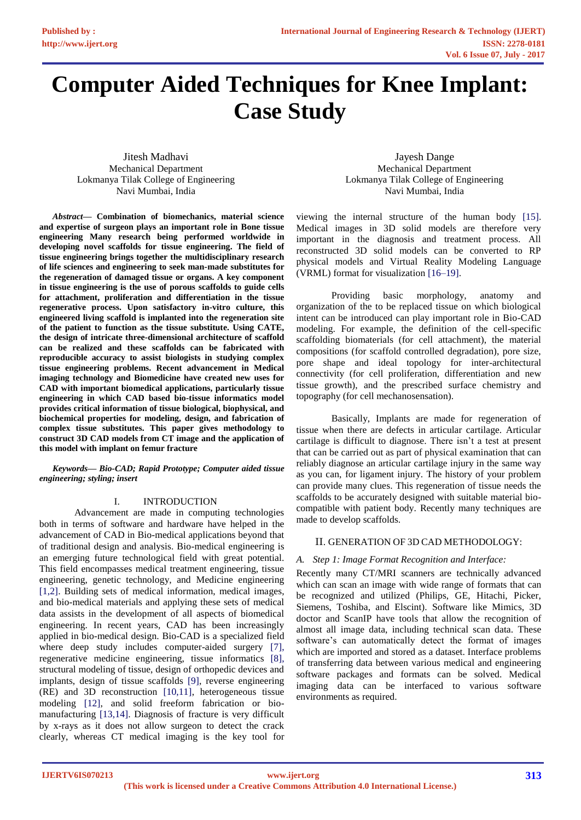# **Computer Aided Techniques for Knee Implant: Case Study**

Jitesh Madhavi Mechanical Department Lokmanya Tilak College of Engineering Navi Mumbai, India

Jayesh Dange Mechanical Department Lokmanya Tilak College of Engineering Navi Mumbai, India

*Abstract***— Combination of biomechanics, material science and expertise of surgeon plays an important role in Bone tissue engineering Many research being performed worldwide in developing novel scaffolds for tissue engineering. The field of tissue engineering brings together the multidisciplinary research of life sciences and engineering to seek man-made substitutes for the regeneration of damaged tissue or organs. A key component in tissue engineering is the use of porous scaffolds to guide cells for attachment, proliferation and differentiation in the tissue regenerative process. Upon satisfactory in-vitro culture, this engineered living scaffold is implanted into the regeneration site of the patient to function as the tissue substitute. Using CATE, the design of intricate three-dimensional architecture of scaffold can be realized and these scaffolds can be fabricated with reproducible accuracy to assist biologists in studying complex tissue engineering problems. Recent advancement in Medical imaging technology and Biomedicine have created new uses for CAD with important biomedical applications, particularly tissue engineering in which CAD based bio-tissue informatics model provides critical information of tissue biological, biophysical, and biochemical properties for modeling, design, and fabrication of complex tissue substitutes. This paper gives methodology to construct 3D CAD models from CT image and the application of this model with implant on femur fracture**

*Keywords— Bio-CAD; Rapid Prototype; Computer aided tissue engineering; styling; insert*

#### I. INTRODUCTION

Advancement are made in computing technologies both in terms of software and hardware have helped in the advancement of CAD in Bio-medical applications beyond that of traditional design and analysis. Bio-medical engineering is an emerging future technological field with great potential. This field encompasses medical treatment engineering, tissue engineering, genetic technology, and Medicine engineering [1,2]. Building sets of medical information, medical images, and bio-medical materials and applying these sets of medical data assists in the development of all aspects of biomedical engineering. In recent years, CAD has been increasingly applied in bio-medical design. Bio-CAD is a specialized field where deep study includes computer-aided surgery [7], regenerative medicine engineering, tissue informatics [8], structural modeling of tissue, design of orthopedic devices and implants, design of tissue scaffolds [9], reverse engineering (RE) and 3D reconstruction [10,11], heterogeneous tissue modeling [12], and solid freeform fabrication or biomanufacturing [13,14]. Diagnosis of fracture is very difficult by x-rays as it does not allow surgeon to detect the crack clearly, whereas CT medical imaging is the key tool for viewing the internal structure of the human body [15]. Medical images in 3D solid models are therefore very important in the diagnosis and treatment process. All reconstructed 3D solid models can be converted to RP physical models and Virtual Reality Modeling Language (VRML) format for visualization [16–19].

Providing basic morphology, anatomy and organization of the to be replaced tissue on which biological intent can be introduced can play important role in Bio-CAD modeling. For example, the definition of the cell-specific scaffolding biomaterials (for cell attachment), the material compositions (for scaffold controlled degradation), pore size, pore shape and ideal topology for inter-architectural connectivity (for cell proliferation, differentiation and new tissue growth), and the prescribed surface chemistry and topography (for cell mechanosensation).

Basically, Implants are made for regeneration of tissue when there are defects in articular cartilage. Articular cartilage is difficult to diagnose. There isn't a test at present that can be carried out as part of physical examination that can reliably diagnose an articular cartilage injury in the same way as you can, for ligament injury. The history of your problem can provide many clues. This regeneration of tissue needs the scaffolds to be accurately designed with suitable material biocompatible with patient body. Recently many techniques are made to develop scaffolds.

#### II. GENERATION OF 3D CAD METHODOLOGY:

# *A. Step 1: Image Format Recognition and Interface:*

Recently many CT/MRI scanners are technically advanced which can scan an image with wide range of formats that can be recognized and utilized (Philips, GE, Hitachi, Picker, Siemens, Toshiba, and Elscint). Software like Mimics, 3D doctor and ScanIP have tools that allow the recognition of almost all image data, including technical scan data. These software's can automatically detect the format of images which are imported and stored as a dataset. Interface problems of transferring data between various medical and engineering software packages and formats can be solved. Medical imaging data can be interfaced to various software environments as required.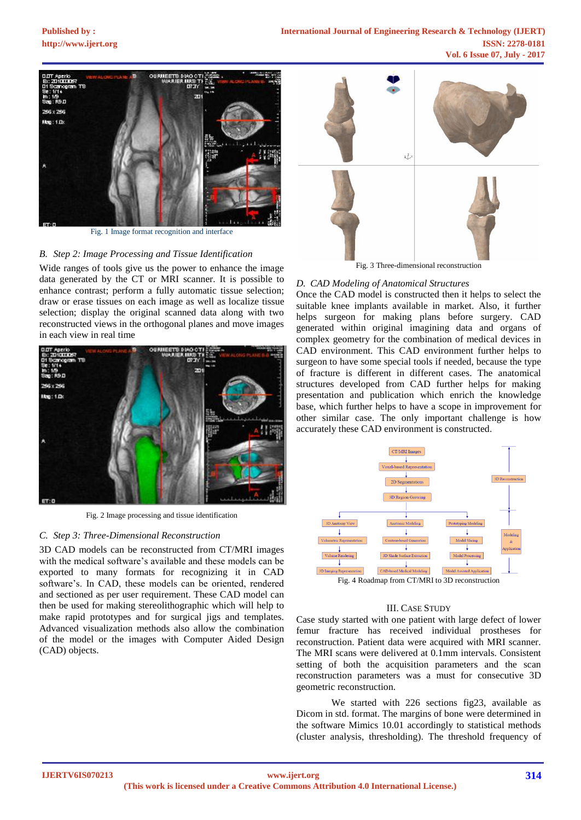

Fig. 1 Image format recognition and interface

# *B. Step 2: Image Processing and Tissue Identification*

Wide ranges of tools give us the power to enhance the image data generated by the CT or MRI scanner. It is possible to enhance contrast; perform a fully automatic tissue selection; draw or erase tissues on each image as well as localize tissue selection; display the original scanned data along with two reconstructed views in the orthogonal planes and move images in each view in real time



Fig. 2 Image processing and tissue identification

#### *C. Step 3: Three-Dimensional Reconstruction*

3D CAD models can be reconstructed from CT/MRI images with the medical software's available and these models can be exported to many formats for recognizing it in CAD software's. In CAD, these models can be oriented, rendered and sectioned as per user requirement. These CAD model can then be used for making stereolithographic which will help to make rapid prototypes and for surgical jigs and templates. Advanced visualization methods also allow the combination of the model or the images with Computer Aided Design (CAD) objects.



Fig. 3 Three-dimensional reconstruction

#### *D. CAD Modeling of Anatomical Structures*

Once the CAD model is constructed then it helps to select the suitable knee implants available in market. Also, it further helps surgeon for making plans before surgery. CAD generated within original imagining data and organs of complex geometry for the combination of medical devices in CAD environment. This CAD environment further helps to surgeon to have some special tools if needed, because the type of fracture is different in different cases. The anatomical structures developed from CAD further helps for making presentation and publication which enrich the knowledge base, which further helps to have a scope in improvement for other similar case. The only important challenge is how accurately these CAD environment is constructed.



#### III. CASE STUDY

Case study started with one patient with large defect of lower femur fracture has received individual prostheses for reconstruction. Patient data were acquired with MRI scanner. The MRI scans were delivered at 0.1mm intervals. Consistent setting of both the acquisition parameters and the scan reconstruction parameters was a must for consecutive 3D geometric reconstruction.

We started with 226 sections fig23, available as Dicom in std. format. The margins of bone were determined in the software Mimics 10.01 accordingly to statistical methods (cluster analysis, thresholding). The threshold frequency of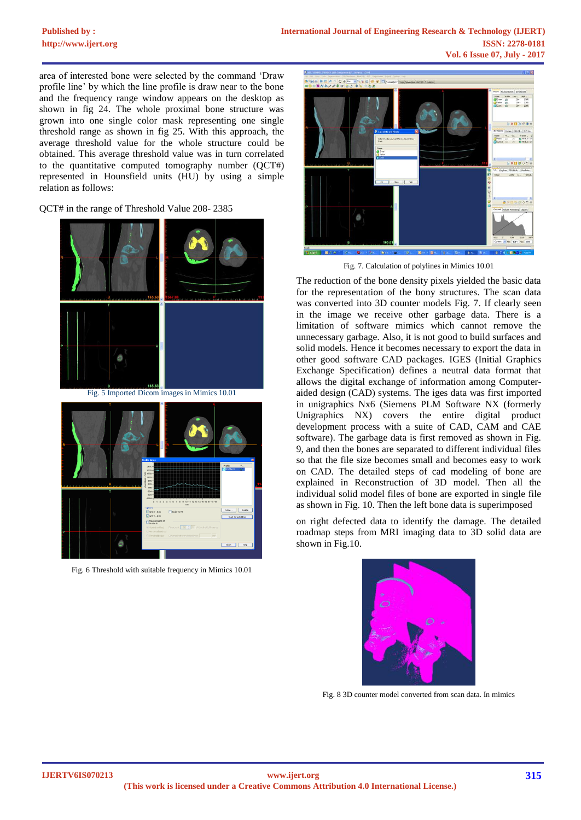# **Published by :**

area of interested bone were selected by the command 'Draw profile line' by which the line profile is draw near to the bone and the frequency range window appears on the desktop as shown in fig 24. The whole proximal bone structure was grown into one single color mask representing one single threshold range as shown in fig 25. With this approach, the average threshold value for the whole structure could be obtained. This average threshold value was in turn correlated to the quantitative computed tomography number (QCT#) represented in Hounsfield units (HU) by using a simple relation as follows:

### QCT# in the range of Threshold Value 208- 2385



Fig. 6 Threshold with suitable frequency in Mimics 10.01



Fig. 7. Calculation of polylines in Mimics 10.01

The reduction of the bone density pixels yielded the basic data for the representation of the bony structures. The scan data was converted into 3D counter models Fig. 7. If clearly seen in the image we receive other garbage data. There is a limitation of software mimics which cannot remove the unnecessary garbage. Also, it is not good to build surfaces and solid models. Hence it becomes necessary to export the data in other good software CAD packages. IGES (Initial Graphics Exchange Specification) defines a neutral data format that allows the digital exchange of information among Computeraided design (CAD) systems. The iges data was first imported in unigraphics Nx6 (Siemens PLM Software NX (formerly Unigraphics NX) covers the entire digital product development process with a suite of CAD, CAM and CAE software). The garbage data is first removed as shown in Fig. 9, and then the bones are separated to different individual files so that the file size becomes small and becomes easy to work on CAD. The detailed steps of cad modeling of bone are explained in Reconstruction of 3D model. Then all the individual solid model files of bone are exported in single file as shown in Fig. 10. Then the left bone data is superimposed

on right defected data to identify the damage. The detailed roadmap steps from MRI imaging data to 3D solid data are shown in Fig.10.



Fig. 8 3D counter model converted from scan data. In mimics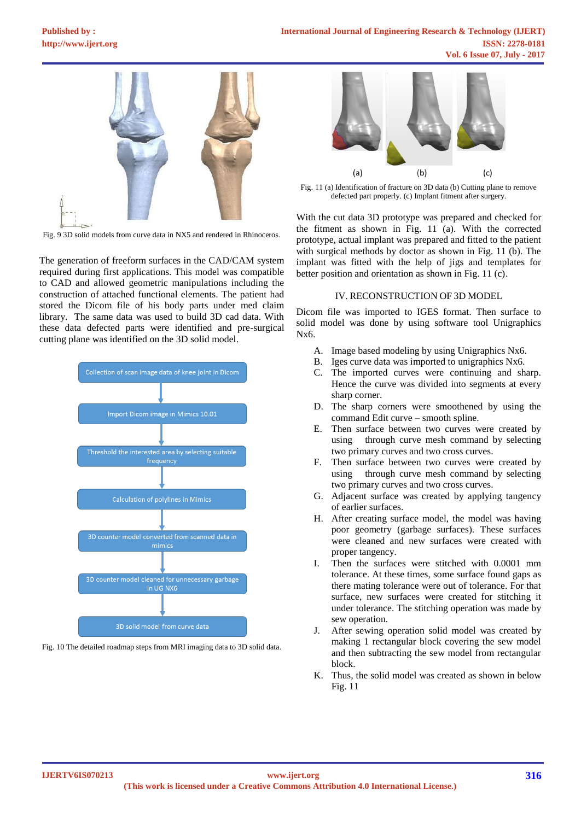

Fig. 9 3D solid models from curve data in NX5 and rendered in Rhinoceros.

The generation of freeform surfaces in the CAD/CAM system required during first applications. This model was compatible to CAD and allowed geometric manipulations including the construction of attached functional elements. The patient had stored the Dicom file of his body parts under med claim library. The same data was used to build 3D cad data. With these data defected parts were identified and pre-surgical cutting plane was identified on the 3D solid model.



Fig. 10 The detailed roadmap steps from MRI imaging data to 3D solid data.



Fig. 11 (a) Identification of fracture on 3D data (b) Cutting plane to remove defected part properly. (c) Implant fitment after surgery.

With the cut data 3D prototype was prepared and checked for the fitment as shown in Fig. 11 (a). With the corrected prototype, actual implant was prepared and fitted to the patient with surgical methods by doctor as shown in Fig. 11 (b). The implant was fitted with the help of jigs and templates for better position and orientation as shown in Fig. 11 (c).

# IV. RECONSTRUCTION OF 3D MODEL

Dicom file was imported to IGES format. Then surface to solid model was done by using software tool Unigraphics Nx6.

- A. Image based modeling by using Unigraphics Nx6.
- B. Iges curve data was imported to unigraphics Nx6.
- C. The imported curves were continuing and sharp. Hence the curve was divided into segments at every sharp corner.
- D. The sharp corners were smoothened by using the command Edit curve – smooth spline.
- E. Then surface between two curves were created by using through curve mesh command by selecting two primary curves and two cross curves.
- F. Then surface between two curves were created by using through curve mesh command by selecting two primary curves and two cross curves.
- G. Adjacent surface was created by applying tangency of earlier surfaces.
- H. After creating surface model, the model was having poor geometry (garbage surfaces). These surfaces were cleaned and new surfaces were created with proper tangency.
- I. Then the surfaces were stitched with 0.0001 mm tolerance. At these times, some surface found gaps as there mating tolerance were out of tolerance. For that surface, new surfaces were created for stitching it under tolerance. The stitching operation was made by sew operation.
- J. After sewing operation solid model was created by making 1 rectangular block covering the sew model and then subtracting the sew model from rectangular block.
- K. Thus, the solid model was created as shown in below Fig. 11